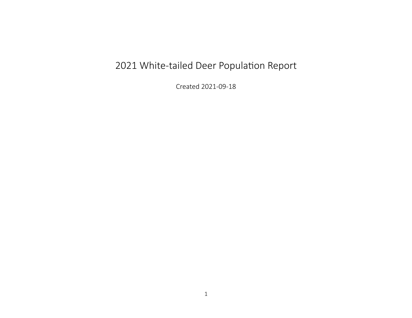## 2021 White-tailed Deer Population Report

Created 2021-09-18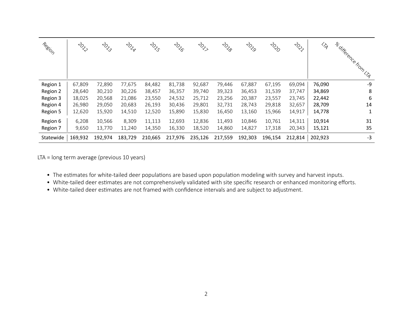| Region    | $\stackrel{<}{\diamondsuit}$ | $\stackrel{2}{\sim}$ | <b>POLA</b> | $\stackrel{2}{\sim}$ | <b>POLIC</b> | $\stackrel{2}{\sim}$ | <b>LOL</b> | $\stackrel{\rightarrow}{\sim}_{\hspace{-1mm}\mathcal{S}}$ | 2020    | $\psi_{\mathrm{Q}}$ | $\overline{\mathscr{L}_{\mathscr{A}}}$ | a difference from UA |
|-----------|------------------------------|----------------------|-------------|----------------------|--------------|----------------------|------------|-----------------------------------------------------------|---------|---------------------|----------------------------------------|----------------------|
| Region 1  | 67,809                       | 72,890               | 77,675      | 84,482               | 81,738       | 92,687               | 79,446     | 67,887                                                    | 67,195  | 69,094              | 76,090                                 | -9                   |
| Region 2  | 28,640                       | 30,210               | 30,226      | 38,457               | 36,357       | 39,740               | 39,323     | 36,453                                                    | 31,539  | 37,747              | 34,869                                 | 8                    |
| Region 3  | 18,025                       | 20,568               | 21,086      | 23,550               | 24,532       | 25,712               | 23,256     | 20,387                                                    | 23,557  | 23,745              | 22,442                                 | 6                    |
| Region 4  | 26,980                       | 29,050               | 20,683      | 26,193               | 30,436       | 29,801               | 32,731     | 28,743                                                    | 29,818  | 32,657              | 28,709                                 | 14                   |
| Region 5  | 12,620                       | 15,920               | 14,510      | 12,520               | 15,890       | 15,830               | 16,450     | 13,160                                                    | 15,966  | 14,917              | 14,778                                 |                      |
| Region 6  | 6,208                        | 10,566               | 8,309       | 11,113               | 12,693       | 12,836               | 11,493     | 10,846                                                    | 10,761  | 14,311              | 10,914                                 | 31                   |
| Region 7  | 9,650                        | 13,770               | 11,240      | 14,350               | 16,330       | 18,520               | 14,860     | 14,827                                                    | 17,318  | 20,343              | 15,121                                 | 35                   |
| Statewide | 169,932                      | 192,974              | 183,729     | 210,665              | 217,976      | 235,126              | 217,559    | 192,303                                                   | 196,154 | 212,814             | 202,923                                | $-3$                 |

LTA = long term average (previous 10 years)

- The estimates for white‐tailed deer populations are based upon population modeling with survey and harvest inputs.
- White-tailed deer estimates are not comprehensively validated with site specific research or enhanced monitoring efforts.
- White-tailed deer estimates are not framed with confidence intervals and are subject to adjustment.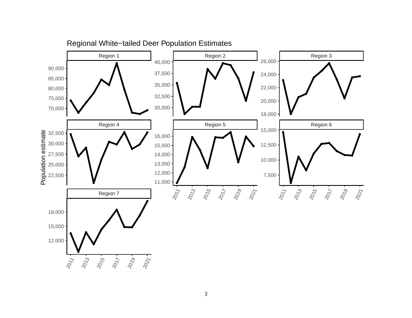

Regional White−tailed Deer Population Estimates